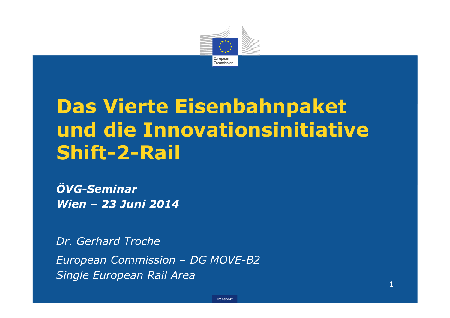

# Das Vierte Eisenbahnpaket und die Innovationsinitiative Shift-2-Rail

**Transport** 

ÖVG-SeminarWien – 23 Juni 2014

Dr. Gerhard TrocheEuropean Commission – DG MOVE-B2 Single European Rail Area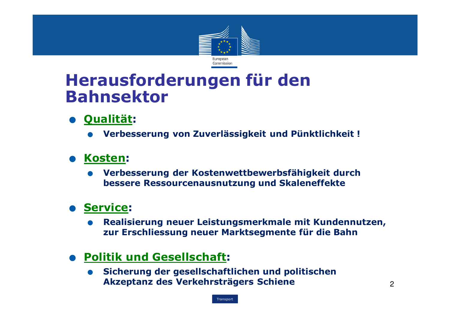

## Herausforderungen für den Bahnsektor

# **. Qualität:**<br>• Verbes

 $\bullet$ Verbesserung von Zuverlässigkeit und Pünktlichkeit !

# ● Kosten:<br>● Verbe

• Verbesserung der Kostenwettbewerbsfähigkeit durch Verbesserung der Kostenwettbewerbsfähigkeit durch bessere Ressourcenausnutzung und Skaleneffekte

# **. Service:**<br>Realis

 $\bullet$ Realisierung neuer Leistungsmerkmale mit Kundennutzen, zur Erschliessung neuer Marktsegmente für die Bahn

# **. Politik und Gesellschaft:**<br>Sicherung der gesellschaft

 $\bullet$  Sicherung der gesellschaftlichen und politischen Akzeptanz des Verkehrsträgers Schiene

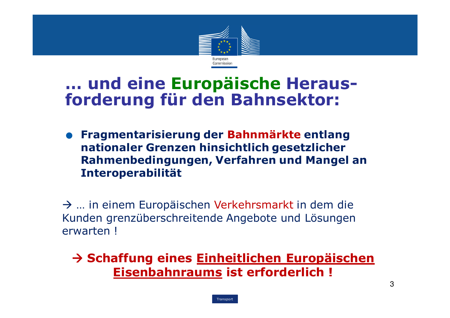

## … und eine Europäische Heraus-<br>fordorung für den Bahnsekter forderung für den Bahnsektor:

• Fragmentarisierung der Bahnmärkte entlang Fragmentarisierung der Bahnmärkte entlang nationaler Grenzen hinsichtlich gesetzlicher<br>Rahmenbedingungen, Verfahren und Mange Rahmenbedingungen, Verfahren und Mangel an Interoperabilität

→ … in einem Europäischen Verkehrsmarkt in dem die<br>Kunden grenzüberschreitende Angebote und Lösungen Kunden grenzüberschreitende Angebote und Lösungen erwarten !

Schaffung eines <u>Einheitlichen Europäischen</u><br>Fisenbahnraums ist erforderlich I Eisenbahnraums ist erforderlich !

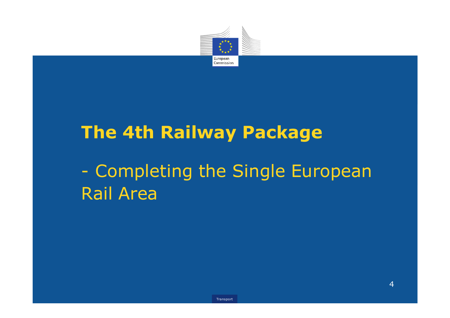

# The 4th Railway Package $\mathcal{L}^{\text{max}}_{\text{max}}$ Completing the Single European Rail Area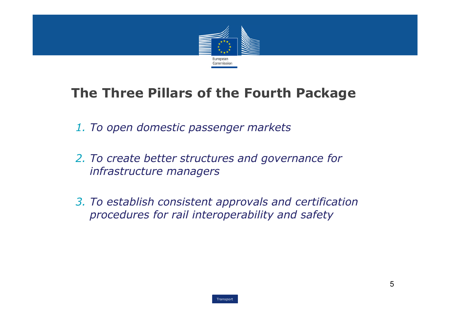

### The Three Pillars of the Fourth Package

- 1. To open domestic passenger markets
- 2. To create better structures and governance for infrastructure managers
- 3. To establish consistent approvals and certificationprocedures for rail interoperability and safety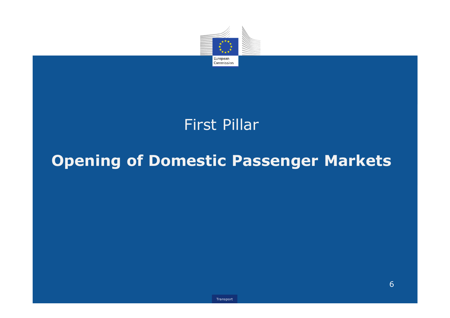

## First Pillar

# Opening of Domestic Passenger Markets

6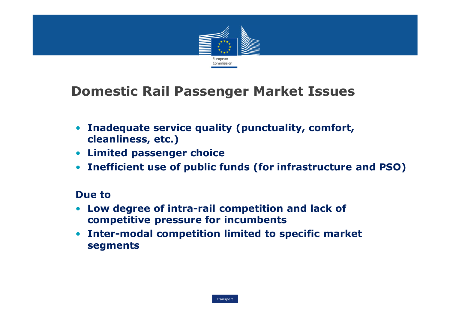

#### Domestic Rail Passenger Market Issues

- Inadequate service quality (punctuality, comfort, cleanliness, etc.)
- Limited passenger choice
- Inefficient use of public funds (for infrastructure and PSO)

#### Due to

- Low degree of intra-rail competition and lack of competitive pressure for incumbents
- Inter-modal competition limited to specific market segments

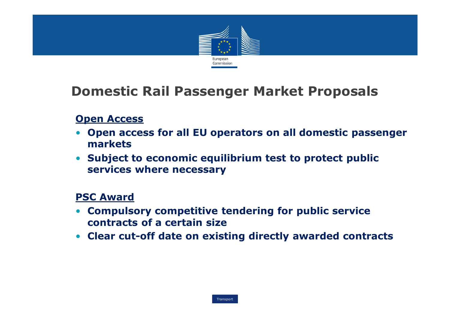

### Domestic Rail Passenger Market Proposals

#### **Open Access**

- Open access for all EU operators on all domestic passenger markets
- Subject to economic equilibrium test to protect public services where necessary

#### PSC Award

- Compulsory competitive tendering for public servicecontracts of a certain size
- Clear cut-off date on existing directly awarded contracts

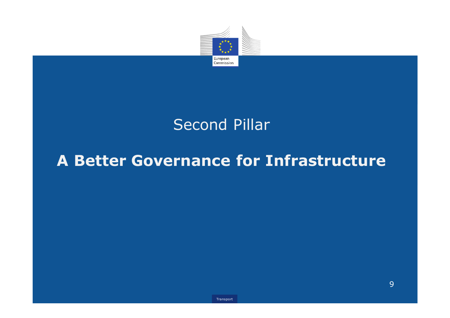

## Second Pillar

## A Better Governance for Infrastructure

9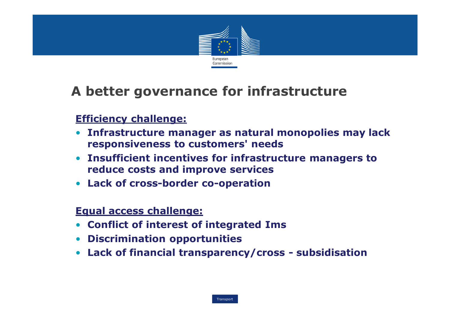

## A better governance for infrastructure

#### Efficiency challenge:

- Infrastructure manager as natural monopolies may lack responsiveness to customers' needs
- Insufficient incentives for infrastructure managers to reduce costs and improve services
- Lack of cross-border co-operation

#### Equal access challenge:

- Conflict of interest of integrated Ims
- Discrimination opportunities
- Lack of financial transparency/cross subsidisation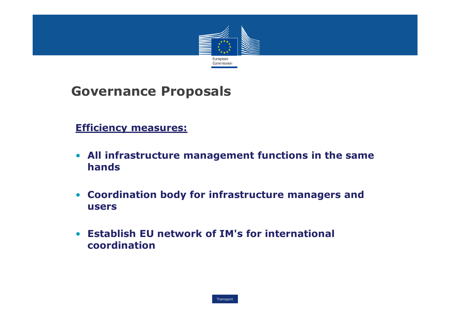

### Governance Proposals

#### Efficiency measures:

- All infrastructure management functions in the samehands
- Coordination body for infrastructure managers and users
- Establish EU network of IM's for international coordination

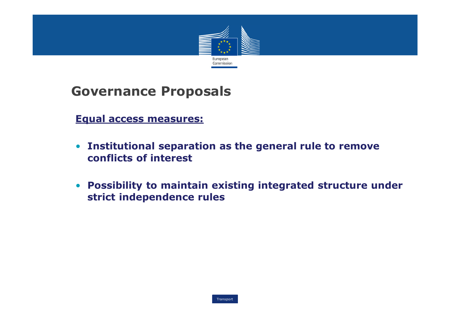

#### Governance Proposals

Equal access measures:

- Institutional separation as the general rule to remove conflicts of interest
- Possibility to maintain existing integrated structure under strict independence rules

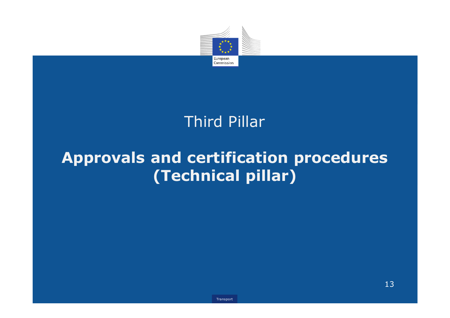

## Third Pillar

## Approvals and certification procedures(Technical pillar)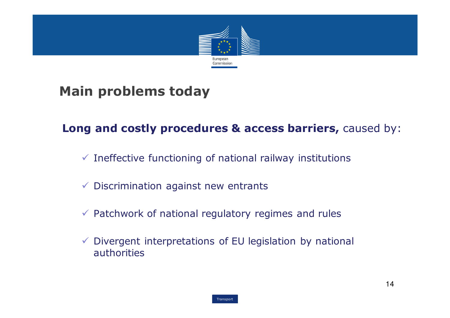

#### Main problems today

#### Long and costly procedures & access barriers, caused by:

- $\checkmark$  Ineffective functioning of national railway institutions
- $\checkmark$  Discrimination against new entrants
- $\checkmark$  Patchwork of national regulatory regimes and rules
- Divergent interpretations of EU legislation by national authorities

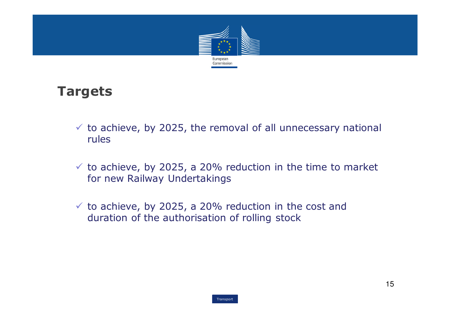

#### Targets

- $\checkmark$  to achieve, by 2025, the removal of all unnecessary national  $\checkmark$ rules
- $\checkmark$  to achieve, by 2025, a 20% reduction in the time to market for new Railway Undertakings
- $\checkmark$  to achieve, by 2025, a 20% reduction in the cost and<br>duration of the authorisation of rolling stock duration of the authorisation of rolling stock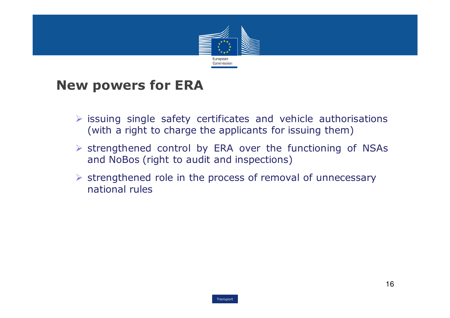

## New powers for ERA

- $\triangleright$  issuing single safety certificates and vehicle authorisations<br>(with a right to charge the applicants for issuing them) (with <sup>a</sup> right to charge the applicants for issuing them)
- $\triangleright$  strengthened control by ERA over the functioning of NSAs<br>and NoBos (right to audit and inspections) and NoBos (right to audit and inspections)
- Strengthened role in the process of removal of unnecessary national rules

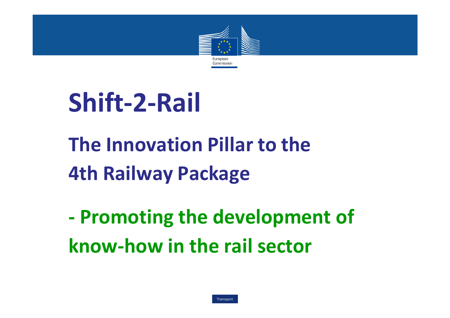

# Shift-2-Rail

# The Innovation Pillar to the 4th Railway Package

- Promoting the development of know-how in the rail sector

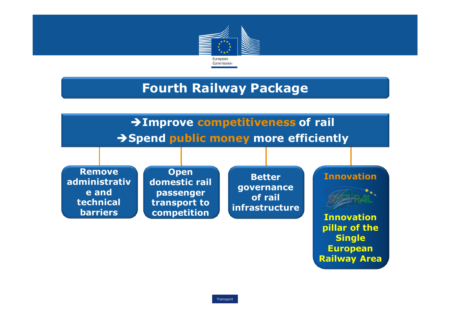

### Fourth Railway Package

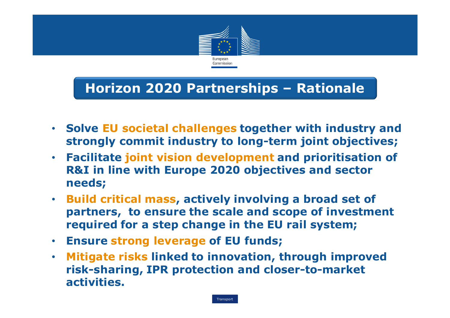

## Horizon 2020 Partnerships – Rationale

- Solve EU societal challenges together with industry and strongly commit industry to long-term joint objectives;
- Facilitate joint vision development and prioritisation of R&I in line with Europe 2020 objectives and sector needs;
- Build critical mass, actively involving a broad set of partners, to ensure the scale and scope of investment required for a step change in the EU rail system;
- Ensure strong leverage of EU funds;
- • Mitigate risks linked to innovation, through improved risk-sharing, IPR protection and closer-to-market activities.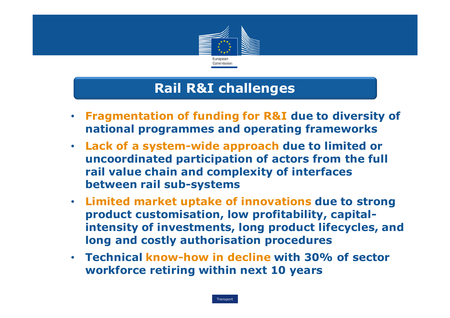

### Rail R&I challenges

- $\bullet$  Fragmentation of funding for R&I due to diversity of national programmes and operating frameworks
- Lack of a system-wide approach due to limited or uncoordinated participation of actors from the fullrail value chain and complexity of interfaces between rail sub-systems
- Limited market uptake of innovations due to strong product customisation, low profitability, capitalintensity of investments, long product lifecycles, and long and costly authorisation procedures
- Technical know-how in decline with 30% of sector workforce retiring within next 10 years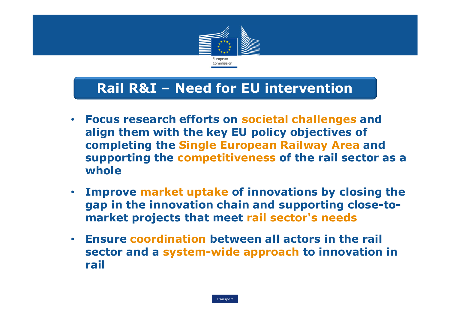

## Rail R&I – Need for EU intervention

- $\bullet$  Focus research efforts on societal challenges andalign them with the key EU policy objectives of completing the Single European Railway Area and supporting the competitiveness of the rail sector as a whole
- $\bullet$  Improve market uptake of innovations by closing the gap in the innovation chain and supporting close-tomarket projects that meet rail sector's needs
- • Ensure coordination between all actors in the rail sector and a system-wide approach to innovation in rail

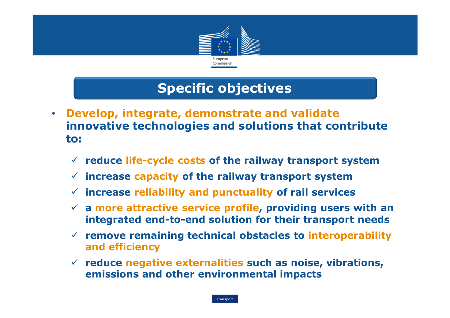

## Specific objectives

- • Develop, integrate, demonstrate and validate innovative technologies and solutions that contribute to:
	- $\checkmark$  reduce life-cycle costs of the railway transport system
	- $\checkmark$  increase capacity of the railway transport system
	- $\checkmark$  increase reliability and punctuality of rail services
	- a more attractive service profile, providing users with an integrated end-to-end solution for their transport needs
	- remove remaining technical obstacles to interoperability and efficiency
	- $\checkmark$  reduce negative externalities such as noise, vibrations,<br>
	emissions and other environmental impacts emissions and other environmental impacts

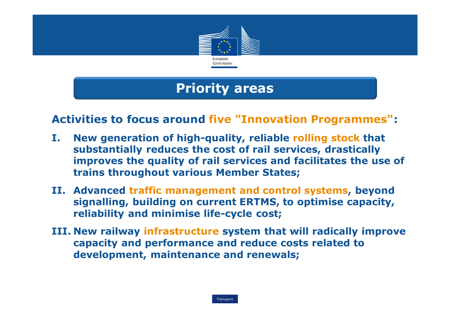

## Priority areas

#### Activities to focus around five "Innovation Programmes":

- I. New generation of high-quality, reliable rolling stock that substantially reduces the cost of rail services, drastically improves the quality of rail services and facilitates the use of trains throughout various Member States;
- II. Advanced traffic management and control systems, beyond signalling, building on current ERTMS, to optimise capacity, reliability and minimise life-cycle cost;
- III. New railway infrastructure system that will radically improve capacity and performance and reduce costs related to development, maintenance and renewals;

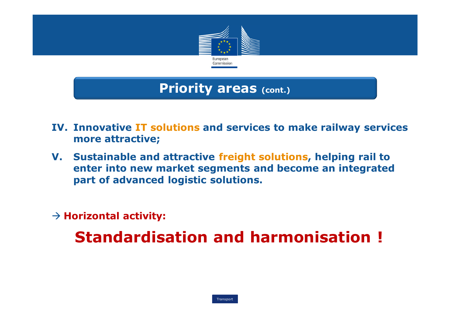

#### Priority areas (cont.)

- IV. Innovative IT solutions and services to make railway services more attractive;
- V. Sustainable and attractive freight solutions, helping rail to enter into new market segments and become an integrated part of advanced logistic solutions.

# $\rightarrow$  Horizontal activity:

Standardisation and harmonisation !

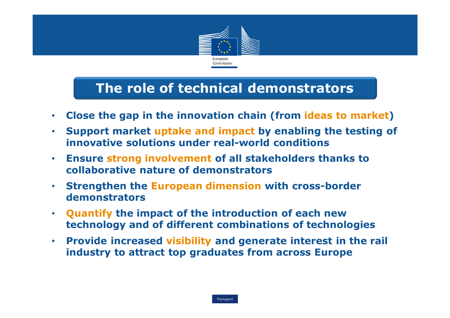

### The role of technical demonstrators

- $\bullet$ Close the gap in the innovation chain (from ideas to market)
- • Support market uptake and impact by enabling the testing of innovative solutions under real-world conditions
- • Ensure strong involvement of all stakeholders thanks to collaborative nature of demonstrators
- • Strengthen the European dimension with cross-border demonstrators
- $\bullet$  Quantify the impact of the introduction of each new technology and of different combinations of technologies
- $\bullet$  Provide increased visibility and generate interest in the rail industry to attract top graduates from across Europe

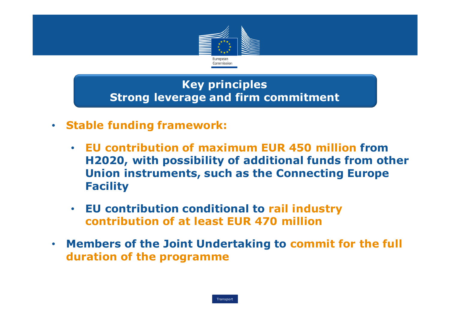

#### Key principlesStrong leverage and firm commitment

- Stable funding framework:
	- • EU contribution of maximum EUR 450 million from H2020, with possibility of additional funds from other Union instruments, such as the Connecting Europe Facility
	- • EU contribution conditional to rail industry contribution of at least EUR 470 million
- Members of the Joint Undertaking to commit for the full<br>contration of the programme duration of the programme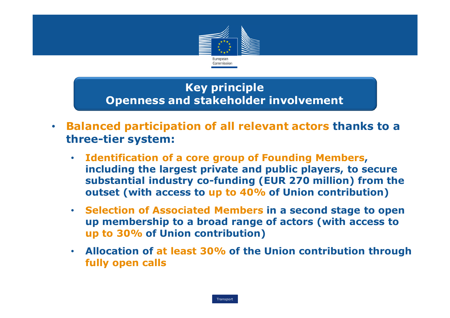

- • Balanced participation of all relevant actors thanks to a three-tier system:
	- Identification of a core group of Founding Members, including the largest private and public players, to secure substantial industry co-funding (EUR 270 million) from the outset (with access to up to 40% of Union contribution)<br>Cancel Line Cancel Line Line Contribution
	- Selection of Associated Members in a second stage to open up membership to a broad range of actors (with access to up to 30% of Union contribution)
	- • Allocation of at least 30% of the Union contribution through fully open calls

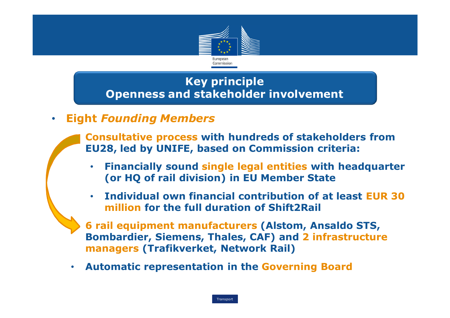

 $\bullet$ Eight Founding Members

> **Consultative process with hundreds of stakeholders from**<br>FII28 led by UNIFE based on Commission criteria: EU28, led by UNIFE, based on Commission criteria:

- • Financially sound single legal entities with headquarter (or HQ of rail division) in EU Member State
- • Individual own financial contribution of at least EUR 30 million for the full duration of Shift2Rail

 6 rail equipment manufacturers (Alstom, Ansaldo STS, Bombardier, Siemens, Thales, CAF) and 2 infrastructure managers (Trafikverket, Network Rail)

 $\bullet$ Automatic representation in the Governing Board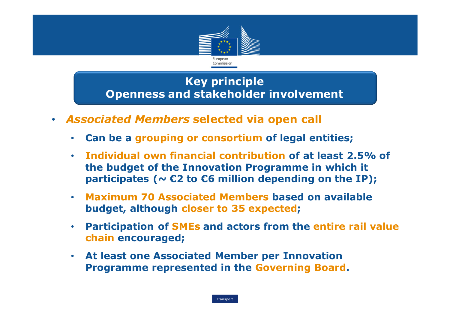

- Associated Members selected via open call
	- $\bullet$ Can be a grouping or consortium of legal entities;
	- • Individual own financial contribution of at least 2.5% of the budget of the Innovation Programme in which it participates ( $\sim$  €2 to €6 million depending on the IP);
	- • Maximum 70 Associated Members based on available budget, although closer to 35 expected;
	- •• Participation of SMEs and actors from the entire rail value chain encouraged;
	- • At least one Associated Member per Innovation Programme represented in the Governing Board.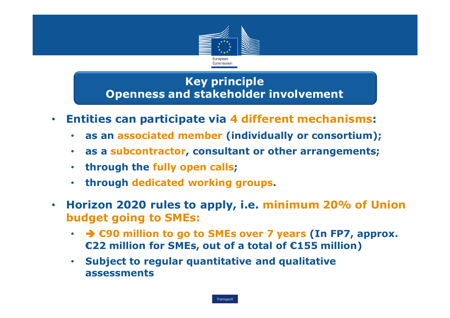

- • Entities can participate via 4 different mechanisms:
	- •as an associated member (individually or consortium);
	- $\bullet$ as a subcontractor, consultant or other arrangements;
	- •through the fully open calls;
	- •through dedicated working groups.
- • Horizon 2020 rules to apply, i.e. minimum 20% of Union budget going to SMEs:
	- $\cdot$   $\rightarrow$  £90 million to go to SMEs over 7 years (In FP7, approx.<br>€22 million for SMEs, out of a total of £155 million) €22 million for SMEs, out of a total of €155 million)
	- $\bullet$  Subject to regular quantitative and qualitative assessments

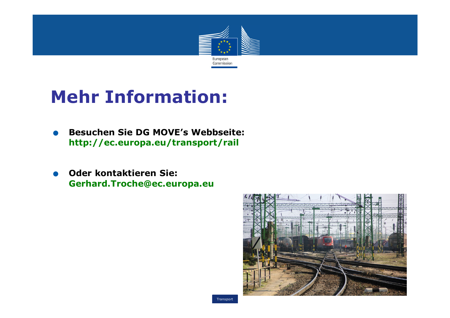

# Mehr Information:

- $\bullet$ Besuchen Sie DG MOVE's Webbseite: http://ec.europa.eu/transport/rail
- $\bullet$ **Oder kontaktieren Sie:<br>Gerhard.Troche@ec.europa.eu**